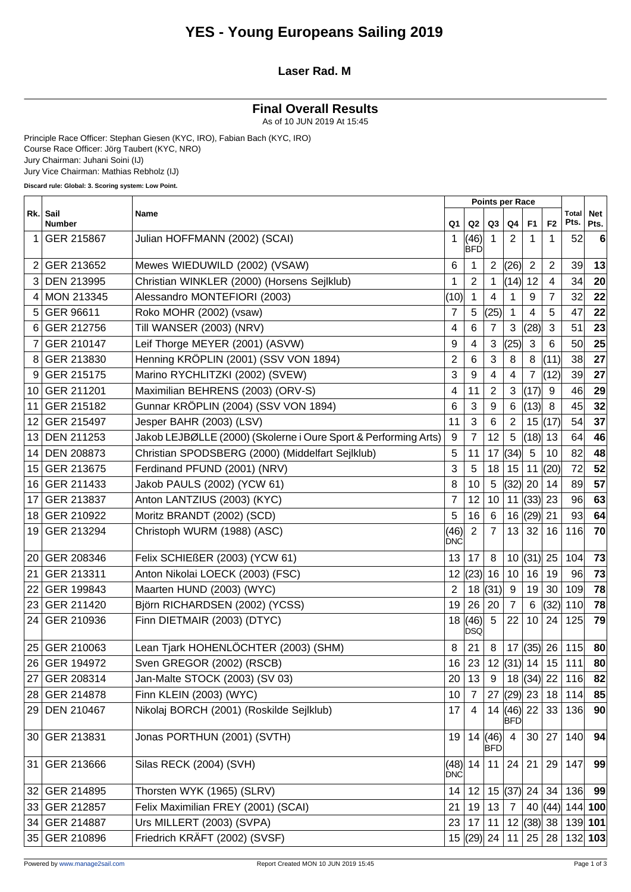### **YES - Young Europeans Sailing 2019**

#### **Laser Rad. M**

### **Final Overall Results**

As of 10 JUN 2019 At 15:45

Principle Race Officer: Stephan Giesen (KYC, IRO), Fabian Bach (KYC, IRO) Course Race Officer: Jörg Taubert (KYC, NRO) Jury Chairman: Juhani Soini (IJ) Jury Vice Chairman: Mathias Rebholz (IJ)

**Discard rule: Global: 3. Scoring system: Low Point.**

 $\Gamma$ 

|                 |                           |                                                                 | <b>Points per Race</b> |                    |                      |                            |                |                |                    |                    |
|-----------------|---------------------------|-----------------------------------------------------------------|------------------------|--------------------|----------------------|----------------------------|----------------|----------------|--------------------|--------------------|
|                 | Rk. Sail<br><b>Number</b> | Name                                                            | Q1                     | Q2                 | Q3                   | Q <sub>4</sub>             | F <sub>1</sub> | F <sub>2</sub> | Total<br>Pts.      | <b>Net</b><br>Pts. |
| 1               | GER 215867                | Julian HOFFMANN (2002) (SCAI)                                   | 1                      | (46)<br><b>BFD</b> |                      | 2                          |                | 1              | 52                 | 6                  |
|                 | GER 213652                | Mewes WIEDUWILD (2002) (VSAW)                                   | 6                      | 1                  | $\overline{2}$       | (26)                       | 2              | $\overline{2}$ | 39                 | 13                 |
| 3               | <b>DEN 213995</b>         | Christian WINKLER (2000) (Horsens Sejlklub)                     | 1                      | $\overline{2}$     | 1                    | (14)                       | 12             | $\overline{4}$ | 34                 | 20                 |
| 4               | <b>MON 213345</b>         | Alessandro MONTEFIORI (2003)                                    | (10)                   | 1                  | 4                    | 1                          | 9              | 7              | 32                 | 22                 |
| 5               | GER 96611                 | Roko MOHR (2002) (vsaw)                                         | $\overline{7}$         | 5                  | (25)                 | 1                          | 4              | 5              | 47                 | 22                 |
| 6               | GER 212756                | Till WANSER (2003) (NRV)                                        | 4                      | 6                  | $\overline{7}$       | 3                          | (28)           | $\mathbf{3}$   | 51                 | 23                 |
| 7               | GER 210147                | Leif Thorge MEYER (2001) (ASVW)                                 | 9                      | 4                  | 3                    | (25)                       | 3              | 6              | 50                 | 25                 |
| 8               | GER 213830                | Henning KRÖPLIN (2001) (SSV VON 1894)                           | $\overline{2}$         | 6                  | 3                    | 8                          | 8              | (11)           | 38                 | 27                 |
| 9               | GER 215175                | Marino RYCHLITZKI (2002) (SVEW)                                 | 3                      | 9                  | $\overline{4}$       | 4                          | $\overline{7}$ | (12)           | 39                 | 27                 |
| 10              | GER 211201                | Maximilian BEHRENS (2003) (ORV-S)                               | 4                      | 11                 | 2                    | 3                          | (17)           | 9              | 46                 | 29                 |
| 11              | GER 215182                | Gunnar KRÖPLIN (2004) (SSV VON 1894)                            | 6                      | 3                  | 9                    | 6                          | (13)           | 8              | 45                 | 32                 |
| 12              | GER 215497                | Jesper BAHR (2003) (LSV)                                        | 11                     | 3                  | 6                    | $\overline{c}$             | 15             | (17)           | 54                 | 37                 |
| 13              | <b>DEN 211253</b>         | Jakob LEJBØLLE (2000) (Skolerne i Oure Sport & Performing Arts) | $\boldsymbol{9}$       | 7                  | 12                   | 5                          | (18)           | 13             | 64                 | 46                 |
| 14              | <b>DEN 208873</b>         | Christian SPODSBERG (2000) (Middelfart Sejlklub)                | 5                      | 11                 | 17                   | (34)                       | 5              | 10             | 82                 | 48                 |
| 15              | GER 213675                | Ferdinand PFUND (2001) (NRV)                                    | 3                      | 5                  | 18                   | 15                         | 11             | (20)           | 72                 | 52                 |
| 16              | GER 211433                | Jakob PAULS (2002) (YCW 61)                                     | 8                      | 10                 | $\overline{5}$       | (32)                       | 20             | 14             | 89                 | 57                 |
| 17              | GER 213837                | Anton LANTZIUS (2003) (KYC)                                     | 7                      | 12                 | 10                   | 11                         | (33)           | 23             | 96                 | 63                 |
| 18 <sup>1</sup> | GER 210922                | Moritz BRANDT (2002) (SCD)                                      | 5                      | 16                 | $6\phantom{1}$       | 16                         | (29)           | 21             | 93                 | 64                 |
| 19              | GER 213294                | Christoph WURM (1988) (ASC)                                     | (46)<br>DNC            | $\overline{2}$     | 7                    | 13                         | 32             | 16             | 116                | 70                 |
| 20              | GER 208346                | Felix SCHIEßER (2003) (YCW 61)                                  | 13                     | 17                 | 8                    | 10                         | (31)           | 25             | 104                | 73                 |
| 21              | GER 213311                | Anton Nikolai LOECK (2003) (FSC)                                | 12                     | (23)               | 16                   | 10                         | 16             | 19             | 96                 | 73                 |
| 22              | GER 199843                | Maarten HUND (2003) (WYC)                                       | 2                      | 18                 | (31)                 | 9                          | 19             | 30             | 109                | 78                 |
| 23              | GER 211420                | Björn RICHARDSEN (2002) (YCSS)                                  | 19                     | 26                 | 20                   | $\overline{7}$             | $\,6\,$        | (32)           | 110                | 78                 |
| 24              | GER 210936                | Finn DIETMAIR (2003) (DTYC)                                     | 18                     | (46)<br><b>DSQ</b> | 5                    | 22                         | 10             | 24             | 125                | 79                 |
| 25              | GER 210063                | Lean Tjark HOHENLÖCHTER (2003) (SHM)                            | 8                      | 21                 | 8                    | 17                         | (35)           | 26             | 115                | 80                 |
| 26              | GER 194972                | Sven GREGOR (2002) (RSCB)                                       | 16                     | 23                 | 12                   | (31) 14                    |                | 15             | 111                | 80                 |
| 27 <sub>1</sub> | GER 208314                | Jan-Malte STOCK (2003) (SV 03)                                  | 20                     | 13                 | 9                    |                            |                |                | $18$ (34) 22   116 | 82                 |
|                 | 28 GER 214878             | Finn KLEIN (2003) (WYC)                                         | 10                     | $\overline{7}$     | 27                   | (29) 23                    |                | 18             | 114                | 85                 |
|                 | 29 DEN 210467             | Nikolaj BORCH (2001) (Roskilde Sejlklub)                        | 17                     | 4                  |                      | 14  (46)  22<br><b>BFD</b> |                | 33             | 136                | 90                 |
|                 | 30 GER 213831             | Jonas PORTHUN (2001) (SVTH)                                     | 19                     |                    | 14(46)<br><b>BFD</b> | $\overline{4}$             | 30             | 27             | 140                | 94                 |
| 31              | GER 213666                | Silas RECK (2004) (SVH)                                         | (48)<br><b>DNC</b>     | 14                 | 11                   | 24                         | 21             | 29             | 147                | 99                 |
|                 | 32 GER 214895             | Thorsten WYK (1965) (SLRV)                                      | 14                     | 12                 |                      | $15$ (37) 24               |                | 34             | 136                | 99                 |
|                 | 33 GER 212857             | Felix Maximilian FREY (2001) (SCAI)                             | 21                     | 19                 | 13                   | $\overline{7}$             |                |                | 40 (44) 144 100    |                    |
|                 | 34 GER 214887             | Urs MILLERT (2003) (SVPA)                                       | 23                     | 17                 | 11                   |                            | 12  (38)  38   |                |                    | 139 101            |
|                 | 35 GER 210896             | Friedrich KRÄFT (2002) (SVSF)                                   |                        | 15  (29)  24   11  |                      |                            | 25             | 28             |                    | $132 $ 103         |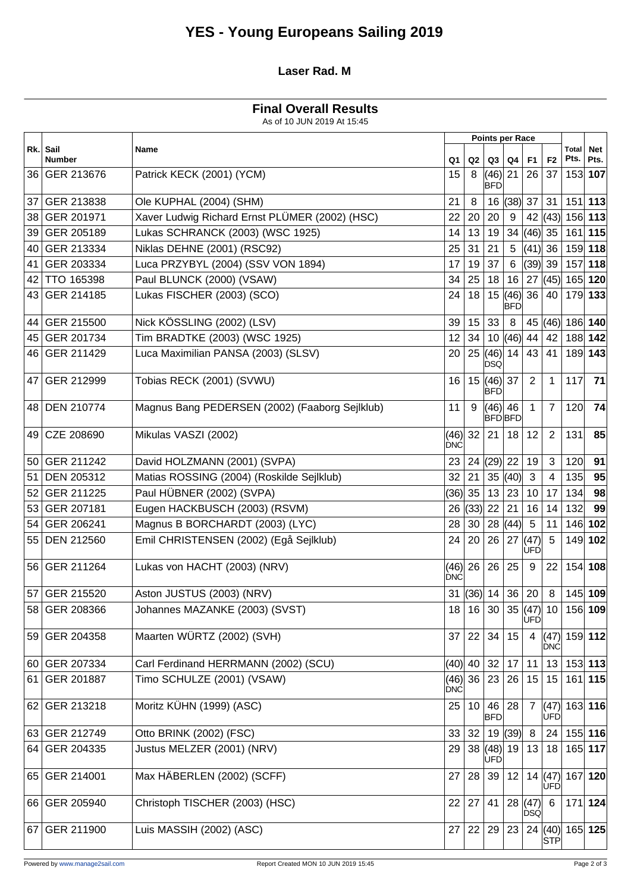# **YES - Young Europeans Sailing 2019**

#### **Laser Rad. M**

### **Final Overall Results**

As of 10 JUN 2019 At 15:45

|    |                           |                                                |                    |                 |                      | <b>Points per Race</b> |                |                    |                 |                                                                                                          |
|----|---------------------------|------------------------------------------------|--------------------|-----------------|----------------------|------------------------|----------------|--------------------|-----------------|----------------------------------------------------------------------------------------------------------|
|    | Rk. Sail<br><b>Number</b> | Name                                           | Q1                 | Q2              | Q3                   | Q4                     | F1             | F <sub>2</sub>     | Total<br>Pts.   | <b>Net</b><br>Pts.<br>153 107<br>$151$ 113<br>156 113<br>161 115<br>159 118<br>118<br>165 120<br>179 133 |
|    | 36 GER 213676             | Patrick KECK (2001) (YCM)                      | 15                 | 8               | (46)<br><b>BFD</b>   | 21                     | 26             | 37                 |                 |                                                                                                          |
| 37 | GER 213838                | Ole KUPHAL (2004) (SHM)                        | 21                 | 8               | 16                   | (38)                   | 37             | 31                 |                 |                                                                                                          |
| 38 | GER 201971                | Xaver Ludwig Richard Ernst PLÜMER (2002) (HSC) | 22                 | 20              | 20                   | 9                      | 42             | (43)               |                 |                                                                                                          |
| 39 | GER 205189                | Lukas SCHRANCK (2003) (WSC 1925)               | 14                 | 13              | 19                   | 34                     | $(46)$ 35      |                    |                 |                                                                                                          |
| 40 | <b>GER 213334</b>         | Niklas DEHNE (2001) (RSC92)                    | 25                 | 31              | 21                   | 5                      | (41)           | 36                 |                 |                                                                                                          |
| 41 | GER 203334                | Luca PRZYBYL (2004) (SSV VON 1894)             | 17                 | 19              | 37                   | $\,6\,$                | $(39)$ 39      |                    | 157             |                                                                                                          |
|    | 42 TTO 165398             | Paul BLUNCK (2000) (VSAW)                      | 34                 | 25              | 18                   | 16                     |                | 27  (45)           |                 |                                                                                                          |
|    | 43 GER 214185             | Lukas FISCHER (2003) (SCO)                     | 24                 | 18              | 15                   | (46)<br><b>BFD</b>     | 36             | 40                 |                 |                                                                                                          |
| 44 | GER 215500                | Nick KÖSSLING (2002) (LSV)                     | 39                 | 15              | 33                   | 8                      |                | 45 $(46)$          | 186 140         |                                                                                                          |
| 45 | GER 201734                | Tim BRADTKE (2003) (WSC 1925)                  | 12                 | 34              | 10                   | (46)                   | 44             | 42                 |                 | 188 142                                                                                                  |
|    | 46 GER 211429             | Luca Maximilian PANSA (2003) (SLSV)            | 20                 | 25              | (46)<br><b>DSQ</b>   | 14                     | 43             | 41                 |                 | 189 143                                                                                                  |
|    | 47 GER 212999             | Tobias RECK (2001) (SVWU)                      | 16                 |                 | 15(46)<br><b>BFD</b> | 37                     | $\overline{2}$ | 1                  | 117             | 71                                                                                                       |
|    | 48 DEN 210774             | Magnus Bang PEDERSEN (2002) (Faaborg Sejlklub) | 11                 | 9               | (46)                 | 46<br><b>BFDBFD</b>    | $\mathbf 1$    | $\overline{7}$     | 120             | 74                                                                                                       |
| 49 | CZE 208690                | Mikulas VASZI (2002)                           | (46)<br><b>DNC</b> | 32              | 21                   | 18                     | 12             | $\overline{2}$     | 131             | 85                                                                                                       |
|    | 50 GER 211242             | David HOLZMANN (2001) (SVPA)                   | 23                 | 24              | (29)                 | 22                     | 19             | 3                  | 120             | 91                                                                                                       |
| 51 | DEN 205312                | Matias ROSSING (2004) (Roskilde Sejlklub)      | 32                 | 21              | 35                   | (40)                   | 3              | 4                  | 135             | 95                                                                                                       |
| 52 | GER 211225                | Paul HÜBNER (2002) (SVPA)                      | (36)               | 35              | 13                   | 23                     | 10             | 17                 | 134             | 98                                                                                                       |
| 53 | GER 207181                | Eugen HACKBUSCH (2003) (RSVM)                  | 26                 | (33)            | 22                   | 21                     | 16             | 14                 | 132             | 99                                                                                                       |
|    | 54 GER 206241             | Magnus B BORCHARDT (2003) (LYC)                | 28                 | 30              | 28                   | (44)                   | $\overline{5}$ | 11                 |                 | 146 102                                                                                                  |
|    | 55 DEN 212560             | Emil CHRISTENSEN (2002) (Egå Sejlklub)         | 24                 | 20              | 26                   | 27                     | (47)<br>UFD    | 5                  |                 | 149 102                                                                                                  |
|    | 56 GER 211264             | Lukas von HACHT (2003) (NRV)                   | (46)<br><b>DNC</b> | 26              | 26                   | 25                     | 9              | 22                 |                 | 154 108                                                                                                  |
|    | 57 GER 215520             | Aston JUSTUS (2003) (NRV)                      | 31                 | (36)  14        |                      | 36                     | 20             | 8                  | 145 109         |                                                                                                          |
|    | 58 GER 208366             | Johannes MAZANKE (2003) (SVST)                 |                    | 18 16 30        |                      |                        | UFD            | 35(47) 10          | 156 109         |                                                                                                          |
|    | 59 GER 204358             | Maarten WÜRTZ (2002) (SVH)                     | 37                 | 22 34           |                      | 15                     | 4              | (47)<br><b>DNC</b> |                 | 159 112                                                                                                  |
|    | 60 GER 207334             | Carl Ferdinand HERRMANN (2002) (SCU)           |                    | (40)  40   32   |                      | 17                     | 11             | 13                 | $153$ 113       |                                                                                                          |
|    | 61 GER 201887             | Timo SCHULZE (2001) (VSAW)                     | <b>DNC</b>         | (46)  36   23   |                      | 26                     | 15             | 15                 | $161$ 115       |                                                                                                          |
|    | 62 GER 213218             | Moritz KÜHN (1999) (ASC)                       | 25                 | 10 <sup>1</sup> | 46<br><b>BFD</b>     | 28                     | 7              | (47)<br><b>ÚFD</b> |                 | 163 116                                                                                                  |
|    | 63 GER 212749             | Otto BRINK (2002) (FSC)                        | 33                 |                 | 32 19                | (39)                   | 8              | 24                 | $155$ 116       |                                                                                                          |
|    | 64 GER 204335             | Justus MELZER (2001) (NRV)                     | 29                 |                 | 38(48)<br>UFD        | 19                     | 13             | 18                 | 165 117         |                                                                                                          |
|    | 65 GER 214001             | Max HÄBERLEN (2002) (SCFF)                     | 27                 |                 | 28 39                | 12                     |                | 14 $(47)$<br>UFD   | 167 120         |                                                                                                          |
|    | 66 GER 205940             | Christoph TISCHER (2003) (HSC)                 | 22                 | 27              | 41                   | 28  (47)               | <b>DSQ</b>     | -6                 | $171$ 124       |                                                                                                          |
|    | 67 GER 211900             | Luis MASSIH (2002) (ASC)                       | 27                 | 22              | 29                   | 23                     |                | STP                | 24 (40) 165 125 |                                                                                                          |